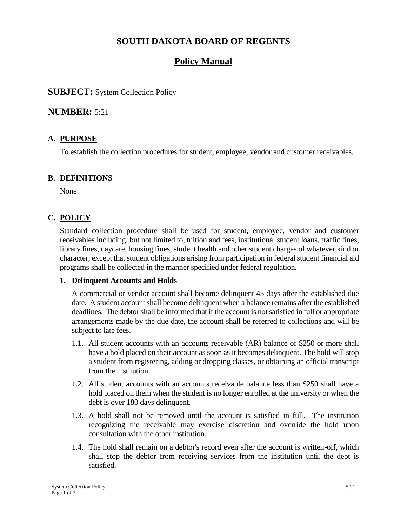# **SOUTH DAKOTA BOARD OF REGENTS**

# **Policy Manual**

#### **SUBJECT:** System Collection Policy

## **NUMBER:** 5:21

## **A. PURPOSE**

To establish the collection procedures for student, employee, vendor and customer receivables.

#### **B. DEFINITIONS**

None

## **C. POLICY**

Standard collection procedure shall be used for student, employee, vendor and customer receivables including, but not limited to, tuition and fees, institutional student loans, traffic fines, library fines, daycare, housing fines, student health and other student charges of whatever kind or character; except that student obligations arising from participation in federal student financial aid programs shall be collected in the manner specified under federal regulation.

#### **1. Delinquent Accounts and Holds**

A commercial or vendor account shall become delinquent 45 days after the established due date. A student account shall become delinquent when a balance remains after the established deadlines. The debtor shall be informed that if the account is not satisfied in full or appropriate arrangements made by the due date, the account shall be referred to collections and will be subject to late fees.

- 1.1. All student accounts with an accounts receivable (AR) balance of \$250 or more shall have a hold placed on their account as soon as it becomes delinquent. The hold will stop a student from registering, adding or dropping classes, or obtaining an official transcript from the institution.
- 1.2. All student accounts with an accounts receivable balance less than \$250 shall have a hold placed on them when the student is no longer enrolled at the university or when the debt is over 180 days delinquent.
- 1.3. A hold shall not be removed until the account is satisfied in full. The institution recognizing the receivable may exercise discretion and override the hold upon consultation with the other institution.
- 1.4. The hold shall remain on a debtor's record even after the account is written-off, which shall stop the debtor from receiving services from the institution until the debt is satisfied.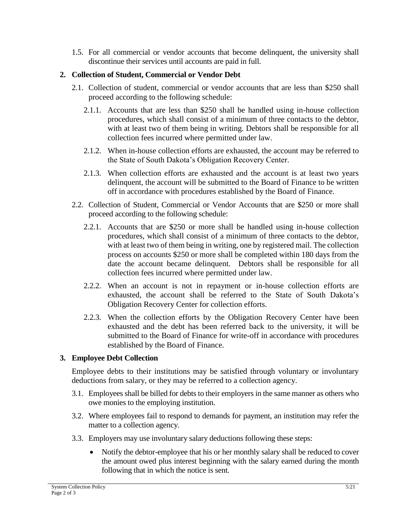1.5. For all commercial or vendor accounts that become delinquent, the university shall discontinue their services until accounts are paid in full.

## **2. Collection of Student, Commercial or Vendor Debt**

- 2.1. Collection of student, commercial or vendor accounts that are less than \$250 shall proceed according to the following schedule:
	- 2.1.1. Accounts that are less than \$250 shall be handled using in-house collection procedures, which shall consist of a minimum of three contacts to the debtor, with at least two of them being in writing. Debtors shall be responsible for all collection fees incurred where permitted under law.
	- 2.1.2. When in-house collection efforts are exhausted, the account may be referred to the State of South Dakota's Obligation Recovery Center.
	- 2.1.3. When collection efforts are exhausted and the account is at least two years delinquent, the account will be submitted to the Board of Finance to be written off in accordance with procedures established by the Board of Finance.
- 2.2. Collection of Student, Commercial or Vendor Accounts that are \$250 or more shall proceed according to the following schedule:
	- 2.2.1. Accounts that are \$250 or more shall be handled using in-house collection procedures, which shall consist of a minimum of three contacts to the debtor, with at least two of them being in writing, one by registered mail. The collection process on accounts \$250 or more shall be completed within 180 days from the date the account became delinquent. Debtors shall be responsible for all collection fees incurred where permitted under law.
	- 2.2.2. When an account is not in repayment or in-house collection efforts are exhausted, the account shall be referred to the State of South Dakota's Obligation Recovery Center for collection efforts.
	- 2.2.3. When the collection efforts by the Obligation Recovery Center have been exhausted and the debt has been referred back to the university, it will be submitted to the Board of Finance for write-off in accordance with procedures established by the Board of Finance.

#### **3. Employee Debt Collection**

Employee debts to their institutions may be satisfied through voluntary or involuntary deductions from salary, or they may be referred to a collection agency.

- 3.1. Employees shall be billed for debts to their employers in the same manner as others who owe monies to the employing institution.
- 3.2. Where employees fail to respond to demands for payment, an institution may refer the matter to a collection agency.
- 3.3. Employers may use involuntary salary deductions following these steps:
	- Notify the debtor-employee that his or her monthly salary shall be reduced to cover the amount owed plus interest beginning with the salary earned during the month following that in which the notice is sent.